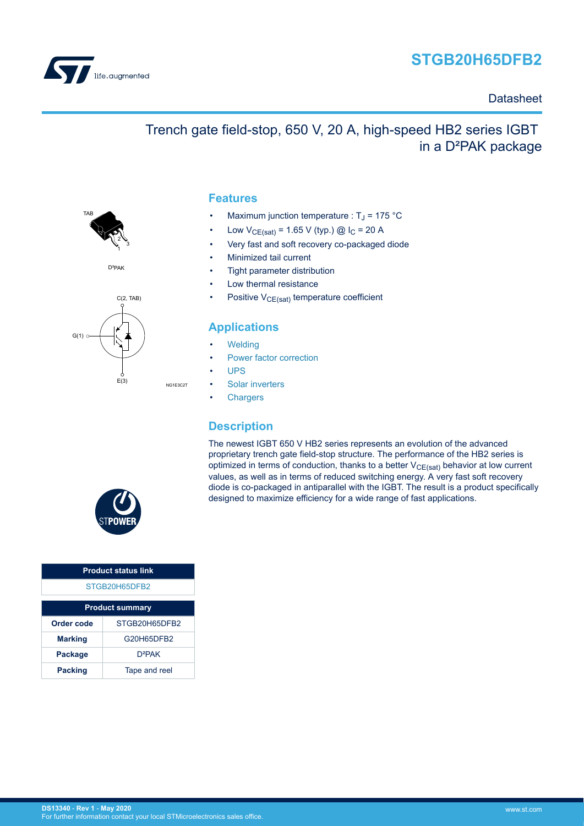



**TAF** 

### **Datasheet**

## Trench gate field-stop, 650 V, 20 A, high-speed HB2 series IGBT in a D²PAK package

### **Features**

- Maximum junction temperature :  $T_J$  = 175 °C
- Low  $V_{CE(sat)} = 1.65 V$  (typ.) @  $I_C = 20 A$
- Very fast and soft recovery co-packaged diode
- Minimized tail current
- Tight parameter distribution
- Low thermal resistance
- Positive  $V_{CE(sat)}$  temperature coefficient

### **Applications**

- **[Welding](https://www.st.com/en/applications/industrial-power-and-tools/welding.html?ecmp=tt9471_gl_link_feb2019&rt=ds&id=DS13340)**
- [Power factor correction](https://www.st.com/en/applications/power-supplies-and-converters/pfc-converter-single-phase-input.html?ecmp=tt9471_gl_link_feb2019&rt=ds&id=DS13340)
- [UPS](https://www.st.com/en/applications/power-supplies-and-converters/uninterruptable-power-supplies-ups.html?ecmp=tt9471_gl_link_feb2019&rt=ds&id=DS13340)
- [Solar inverters](https://www.st.com/en/applications/energy-generation-and-distribution/solar-inverters-string-and-central.html?ecmp=tt9471_gl_link_feb2019&rt=ds&id=DS13340)
- **[Chargers](https://www.st.com/en/applications/energy-generation-and-distribution/dc-fast-charging-station.html?ecmp=tt9471_gl_link_feb2019&rt=ds&id=DS13340)**

### **Description**

The newest IGBT 650 V HB2 series represents an evolution of the advanced proprietary trench gate field-stop structure. The performance of the HB2 series is optimized in terms of conduction, thanks to a better  $V_{CE(sat)}$  behavior at low current values, as well as in terms of reduced switching energy. A very fast soft recovery diode is co-packaged in antiparallel with the IGBT. The result is a product specifically designed to maximize efficiency for a wide range of fast applications.



| <b>Product status link</b> |               |  |  |  |
|----------------------------|---------------|--|--|--|
| STGB20H65DFB2              |               |  |  |  |
| <b>Product summary</b>     |               |  |  |  |
| Order code                 | STGB20H65DFB2 |  |  |  |
| <b>Marking</b>             | G20H65DFB2    |  |  |  |
| <b>Package</b>             | $D^2PAK$      |  |  |  |
| <b>Packing</b>             | Tape and reel |  |  |  |



C(2, TAB)

1 3

2

D<sup>2</sup>PAK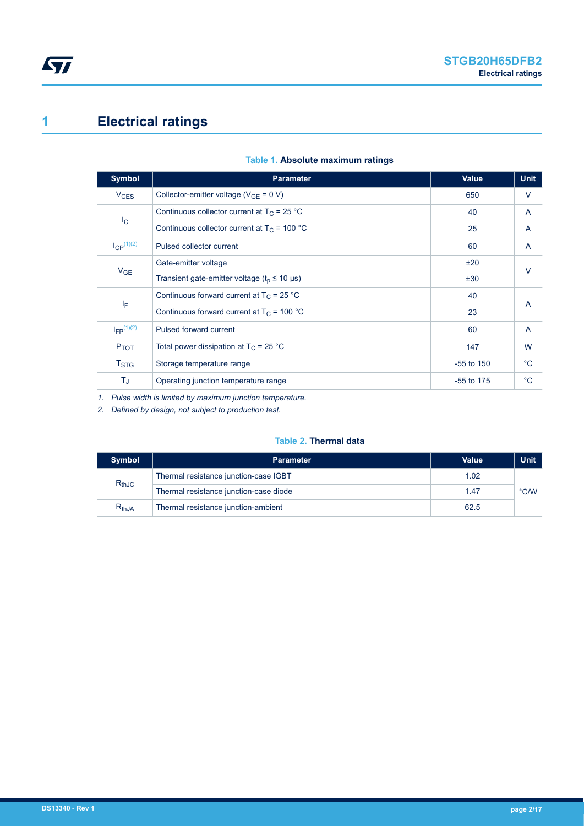# <span id="page-1-0"></span>**1 Electrical ratings**

| <b>Symbol</b>          | <b>Parameter</b>                                                    | Value        | <b>Unit</b>  |  |
|------------------------|---------------------------------------------------------------------|--------------|--------------|--|
| <b>V<sub>CES</sub></b> | Collector-emitter voltage ( $V_{GE}$ = 0 V)                         | 650          | V            |  |
|                        | Continuous collector current at $T_C = 25 °C$                       | 40           | A            |  |
| $I_{\rm C}$            | Continuous collector current at $T_c$ = 100 °C                      | 25           | A            |  |
| $I_{CP}^{(1)(2)}$      | Pulsed collector current                                            | 60           | A            |  |
|                        | Gate-emitter voltage                                                | ±20          | $\vee$       |  |
| $V_{GE}$               | Transient gate-emitter voltage ( $t_0 \le 10 \text{ }\mu\text{s}$ ) | ±30          |              |  |
|                        | Continuous forward current at $T_C = 25 °C$                         | 40           | A            |  |
| ΙF                     | Continuous forward current at $T_C = 100 °C$                        | 23           |              |  |
| $I_{FP}$ $(1)(2)$      | Pulsed forward current                                              | 60           | A            |  |
| $P_{TOT}$              | Total power dissipation at $T_C = 25 °C$                            | 147          | W            |  |
| $T_{\mathrm{STG}}$     | Storage temperature range                                           | $-55$ to 150 | $^{\circ}$ C |  |
| T,                     | Operating junction temperature range                                | $-55$ to 175 | $^{\circ}C$  |  |

### **Table 1. Absolute maximum ratings**

*1. Pulse width is limited by maximum junction temperature.*

*2. Defined by design, not subject to production test.*

### **Table 2. Thermal data**

| <b>Symbol</b> | <b>Parameter</b>                       | Value | <b>Unit</b>   |
|---------------|----------------------------------------|-------|---------------|
|               | Thermal resistance junction-case IGBT  | 1.02  |               |
| $R_{thJC}$    | Thermal resistance junction-case diode | 1.47  | $\degree$ C/W |
| $R_{th,JA}$   | Thermal resistance junction-ambient    | 62.5  |               |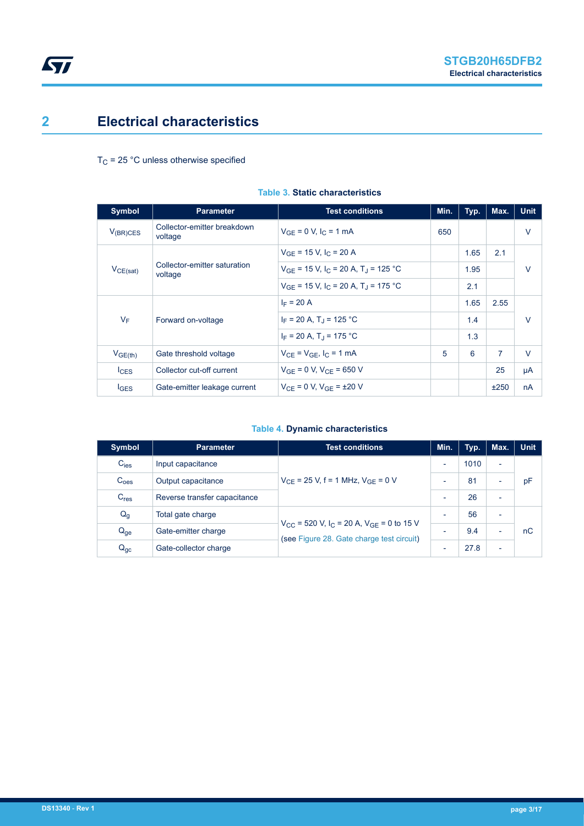# <span id="page-2-0"></span>**2 Electrical characteristics**

 $T_C$  = 25 °C unless otherwise specified

| Symbol              | <b>Parameter</b>                        | <b>Test conditions</b>                                          | Min. | Typ. | Max. | <b>Unit</b> |
|---------------------|-----------------------------------------|-----------------------------------------------------------------|------|------|------|-------------|
| $V_{(BR)CES}$       | Collector-emitter breakdown<br>voltage  | $V_{GF} = 0 V, I_{C} = 1 mA$                                    | 650  |      |      | $\vee$      |
|                     |                                         | $V_{GF}$ = 15 V, I <sub>C</sub> = 20 A                          |      | 1.65 | 2.1  |             |
| $V_{CE(sat)}$       | Collector-emitter saturation<br>voltage | $V_{GF}$ = 15 V, I <sub>C</sub> = 20 A, T <sub>J</sub> = 125 °C |      | 1.95 |      | $\vee$      |
|                     |                                         | $V_{GF}$ = 15 V, I <sub>C</sub> = 20 A, T <sub>J</sub> = 175 °C |      | 2.1  |      |             |
|                     | Forward on-voltage                      | $I_F = 20 A$                                                    |      | 1.65 | 2.55 |             |
| $V_F$               |                                         | $I_F = 20 A$ , T <sub>J</sub> = 125 °C                          |      | 1.4  |      | $\vee$      |
|                     |                                         | $I_F = 20 A$ , T <sub>1</sub> = 175 °C                          |      | 1.3  |      |             |
| V <sub>GE(th)</sub> | Gate threshold voltage                  | $V_{CF} = V_{GF}$ , $I_C = 1$ mA                                | 5    | 6    | 7    | $\vee$      |
| lc <sub>ES</sub>    | Collector cut-off current               | $V_{GF} = 0 V$ , $V_{CF} = 650 V$                               |      |      | 25   | μA          |
| $I_{\text{GES}}$    | Gate-emitter leakage current            | $V_{CF} = 0 V$ , $V_{GF} = \pm 20 V$                            |      |      | ±250 | nA          |

### **Table 3. Static characteristics**

### **Table 4. Dynamic characteristics**

| Symbol           | <b>Parameter</b>             | <b>Test conditions</b>                                                                                            | Min.                     | Typ. | Max.                     | <b>Unit</b> |
|------------------|------------------------------|-------------------------------------------------------------------------------------------------------------------|--------------------------|------|--------------------------|-------------|
| $C_{\text{ies}}$ | Input capacitance            |                                                                                                                   | $\overline{\phantom{0}}$ | 1010 | $\overline{\phantom{a}}$ |             |
| C <sub>oes</sub> | Output capacitance           | $V_{CF}$ = 25 V, f = 1 MHz, $V_{GF}$ = 0 V                                                                        |                          | 81   | $\overline{\phantom{0}}$ | pF          |
| C <sub>res</sub> | Reverse transfer capacitance |                                                                                                                   |                          | 26   | $\overline{\phantom{0}}$ |             |
| $Q_g$            | Total gate charge            |                                                                                                                   |                          | 56   | $\overline{\phantom{0}}$ |             |
| $Q_{ge}$         | Gate-emitter charge          | $V_{CC}$ = 520 V, I <sub>C</sub> = 20 A, V <sub>GE</sub> = 0 to 15 V<br>(see Figure 28. Gate charge test circuit) | $\overline{\phantom{0}}$ | 9.4  | $\overline{\phantom{0}}$ | nC          |
| $Q_{gc}$         | Gate-collector charge        |                                                                                                                   |                          | 27.8 | $\overline{\phantom{0}}$ |             |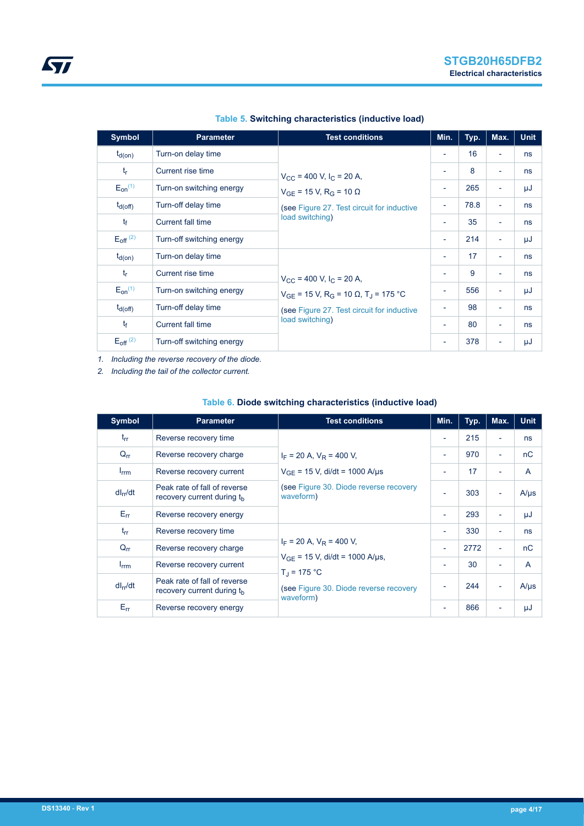| <b>Symbol</b>          | <b>Parameter</b>          | <b>Test conditions</b>                                                                                         | Min.                     | Typ. | Max.                     | <b>Unit</b> |
|------------------------|---------------------------|----------------------------------------------------------------------------------------------------------------|--------------------------|------|--------------------------|-------------|
| $t_{d(on)}$            | Turn-on delay time        |                                                                                                                | $\overline{\phantom{a}}$ | 16   | $\overline{\phantom{a}}$ | ns          |
| $t_{r}$                | Current rise time         | $V_{\rm CC}$ = 400 V, I <sub>C</sub> = 20 A,                                                                   | ٠                        | 8    | $\overline{\phantom{a}}$ | ns          |
| $E_{on}^{(1)}$         | Turn-on switching energy  | $V_{GF}$ = 15 V, R <sub>G</sub> = 10 $\Omega$<br>(see Figure 27. Test circuit for inductive<br>load switching) | $\overline{\phantom{a}}$ | 265  | $\overline{\phantom{a}}$ | μJ          |
| $t_{d(Off)}$           | Turn-off delay time       |                                                                                                                | $\overline{\phantom{a}}$ | 78.8 | $\overline{\phantom{a}}$ | ns          |
| $t_{\rm f}$            | Current fall time         |                                                                                                                | ٠                        | 35   | $\overline{\phantom{a}}$ | ns          |
| $E_{\text{off}}^{(2)}$ | Turn-off switching energy |                                                                                                                | $\overline{\phantom{a}}$ | 214  | $\overline{\phantom{a}}$ | μJ          |
| $t_{d(on)}$            | Turn-on delay time        |                                                                                                                | $\overline{\phantom{a}}$ | 17   | $\overline{\phantom{a}}$ | ns          |
| $t_r$                  | Current rise time         | $V_{CC}$ = 400 V, $I_C$ = 20 A,                                                                                | $\overline{\phantom{a}}$ | 9    | $\overline{\phantom{a}}$ | ns          |
| $E_{on}^{(1)}$         | Turn-on switching energy  | $V_{GF}$ = 15 V, R <sub>G</sub> = 10 Ω, T <sub>J</sub> = 175 °C                                                | ٠                        | 556  | $\overline{\phantom{a}}$ | μJ          |
| $t_{d(off)}$           | Turn-off delay time       | (see Figure 27. Test circuit for inductive<br>load switching)                                                  | $\overline{\phantom{a}}$ | 98   | $\overline{\phantom{a}}$ | ns          |
| $t_{\rm f}$            | Current fall time         |                                                                                                                | $\overline{\phantom{a}}$ | 80   | $\overline{\phantom{a}}$ | ns          |
| $E_{\text{off}}^{(2)}$ | Turn-off switching energy |                                                                                                                | $\overline{\phantom{a}}$ | 378  | $\overline{\phantom{a}}$ | μJ          |

### **Table 5. Switching characteristics (inductive load)**

*1. Including the reverse recovery of the diode.*

*2. Including the tail of the collector current.*

### **Table 6. Diode switching characteristics (inductive load)**

| <b>Symbol</b>    | <b>Parameter</b>                                                       | <b>Test conditions</b>                                                                                                                             | Min.                     | Typ. | Max.                     | <b>Unit</b>  |
|------------------|------------------------------------------------------------------------|----------------------------------------------------------------------------------------------------------------------------------------------------|--------------------------|------|--------------------------|--------------|
| $t_{rr}$         | Reverse recovery time                                                  |                                                                                                                                                    | $\overline{\phantom{a}}$ | 215  | $\overline{\phantom{0}}$ | ns           |
| $Q_{rr}$         | Reverse recovery charge                                                | $I_F$ = 20 A, $V_R$ = 400 V,                                                                                                                       | $\overline{\phantom{a}}$ | 970  | Ξ.                       | nC           |
| $I_{\text{rrm}}$ | Reverse recovery current                                               | $V_{GF}$ = 15 V, di/dt = 1000 A/µs                                                                                                                 | $\overline{\phantom{a}}$ | 17   | $\overline{\phantom{0}}$ | A            |
| $dl_{rr}/dt$     | Peak rate of fall of reverse<br>recovery current during the            | (see Figure 30. Diode reverse recovery<br>waveform)                                                                                                | ٠                        | 303  | ٠                        | $A/\mu s$    |
| $E_{rr}$         | Reverse recovery energy                                                |                                                                                                                                                    | $\overline{\phantom{a}}$ | 293  | ٠                        | μJ           |
| $t_{rr}$         | Reverse recovery time                                                  | $I_F$ = 20 A, $V_R$ = 400 V,<br>$V_{GF}$ = 15 V, di/dt = 1000 A/µs,<br>$T_{\rm d}$ = 175 °C<br>(see Figure 30. Diode reverse recovery<br>waveform) | $\overline{\phantom{a}}$ | 330  | ٠                        | ns           |
| $Q_{\text{rr}}$  | Reverse recovery charge                                                |                                                                                                                                                    | ٠                        | 2772 | ٠                        | nC           |
| $I_{\text{rrm}}$ | Reverse recovery current                                               |                                                                                                                                                    | $\overline{\phantom{a}}$ | 30   | $\overline{\phantom{0}}$ | $\mathsf{A}$ |
| $dl_{rr}/dt$     | Peak rate of fall of reverse<br>recovery current during t <sub>h</sub> |                                                                                                                                                    | $\overline{\phantom{a}}$ | 244  |                          | $A/\mu s$    |
| $E_{rr}$         | Reverse recovery energy                                                |                                                                                                                                                    | $\overline{\phantom{a}}$ | 866  | -                        | μJ           |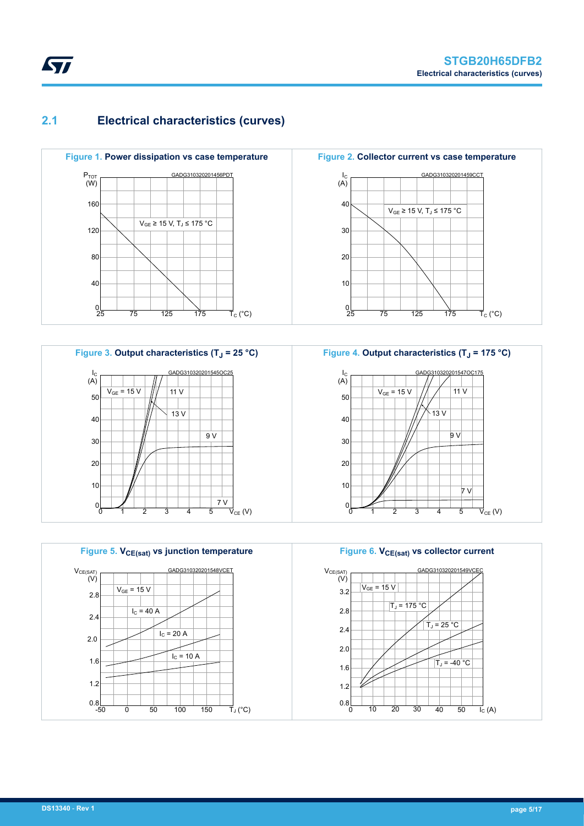### **2.1 Electrical characteristics (curves)**





**Figure 5. VCE(sat) vs junction temperature** GADG310320201548VCET 2.8 2.4 2.0 1.6 1.2  $0.8$ <sub>-50</sub>  $0$  50 100 150  $V_{CE(SAT)}$ <br>(V) TJ (°C)  $V_{GF}$  = 15 V  $I<sub>C</sub>$  = 20 A  $I_C = 10 A$  $I<sub>C</sub> = 40 A$ 

**Figure 2. Collector current vs case temperature** GADG310320201459CCT 40 30 20 10  $0\frac{1}{25}$ 25 75 125 175  $I_{C}$ (A)  $\vec{\mathsf{T}}_{\mathrm{C}}$  (°C)  $V_{GE}$  ≥ 15 V, T<sub>J</sub> ≤ 175 °C



**Figure 6. VCE(sat) vs collector current** GADG310320201549VC 3.2 2.8 2.4 2.0 1.6 1.2  $V_{CE(SAT)}$ <br>(V)  $V_{GE}$  = 15 V  $\overline{T}_J = 175$  °C  $T_J = 25 °C$  $T_J = -40 °C$ 

 $10$  20 30

 $0.8$ 

<span id="page-4-0"></span>

 $\overrightarrow{I_{C}}$  (A)

40 50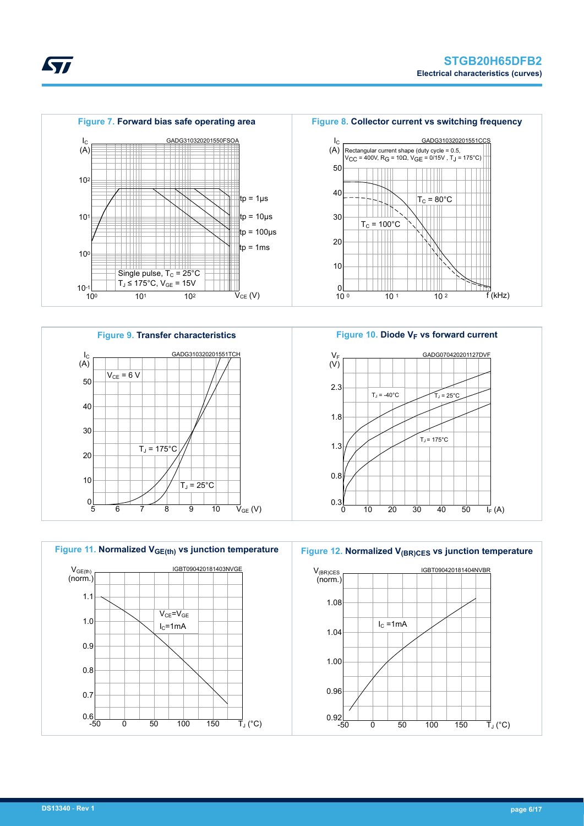







Figure 10. Diode V<sub>F</sub> vs forward current GADG070420201127DVF 2.3 1.8 1.3  $V_F$  $(V)$  $T_J = -40^{\circ}C$   $T_J = 25^{\circ}C$  $T_J$  = 175 $^{\circ}$ C



Figure 12. Normalized V<sub>(BR)CES</sub> vs junction temperature





ST



**DS13340** - **Rev 1 page 6/17**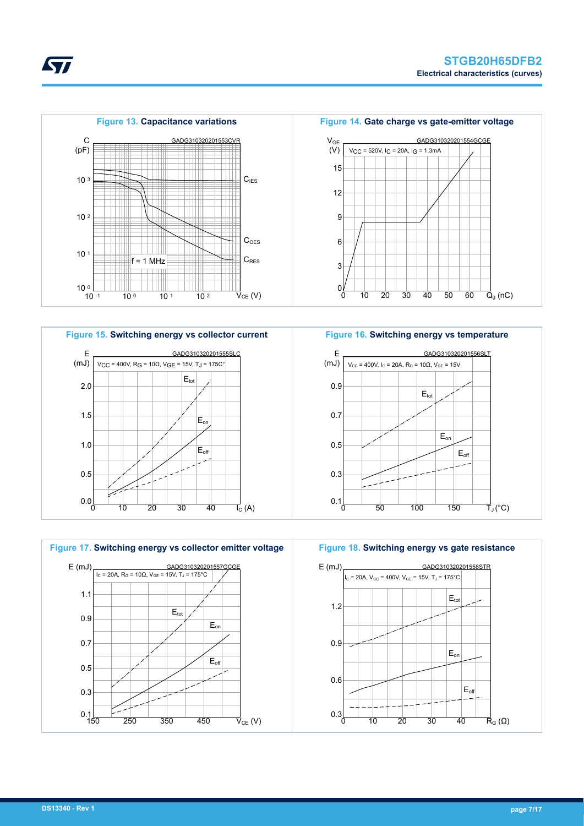







**Figure 16. Switching energy vs temperature**



**Figure 18. Switching energy vs gate resistance**



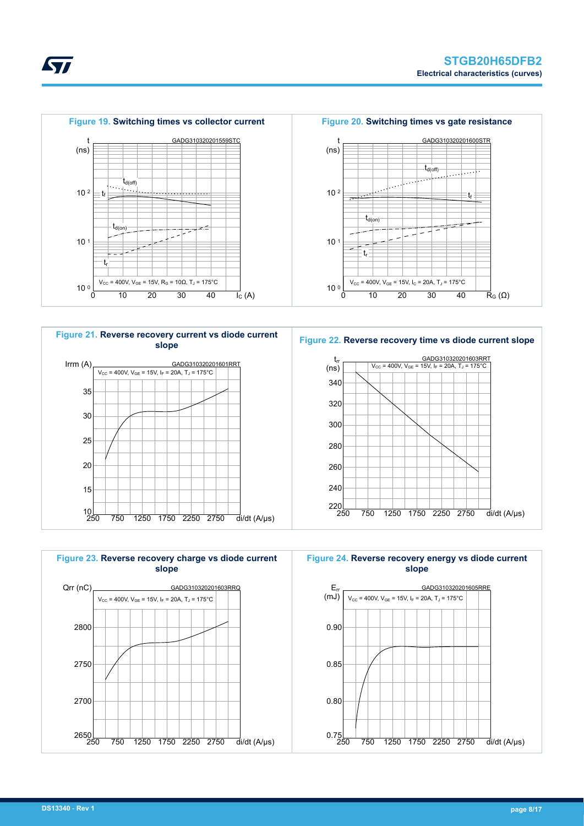









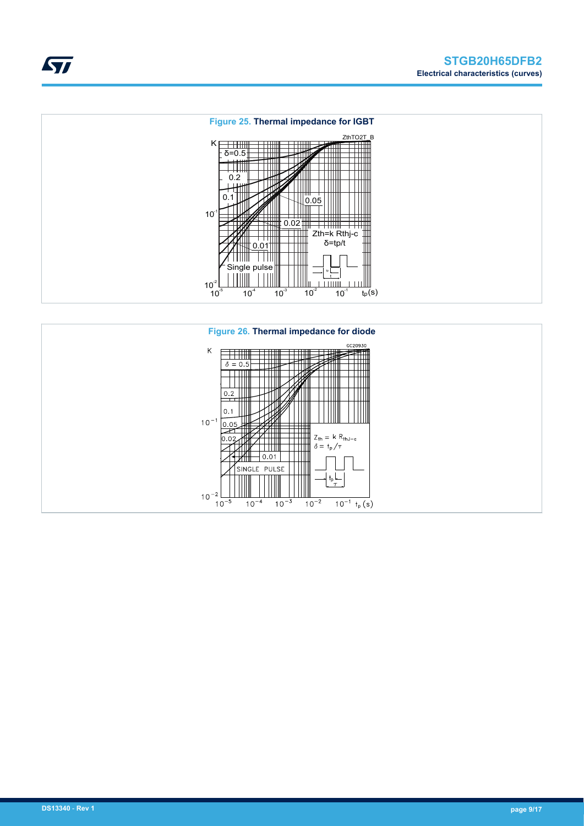



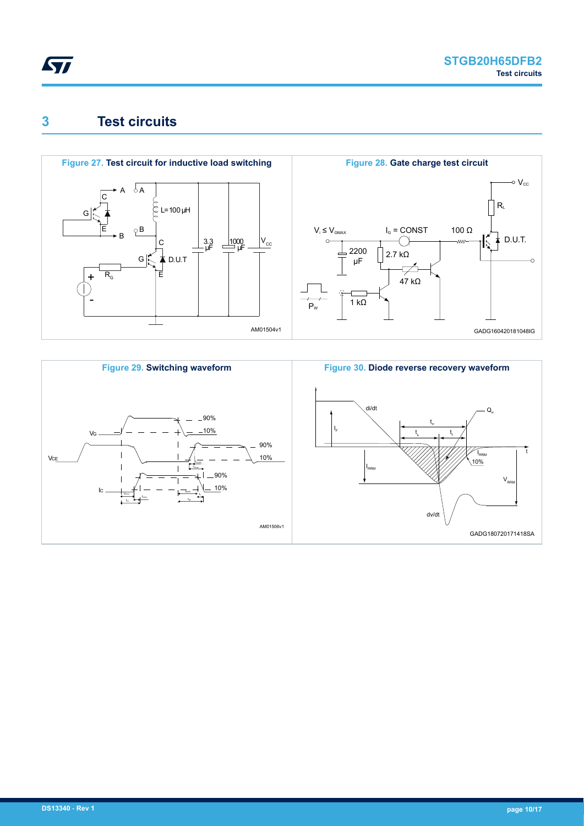<span id="page-9-0"></span>

## **3 Test circuits**





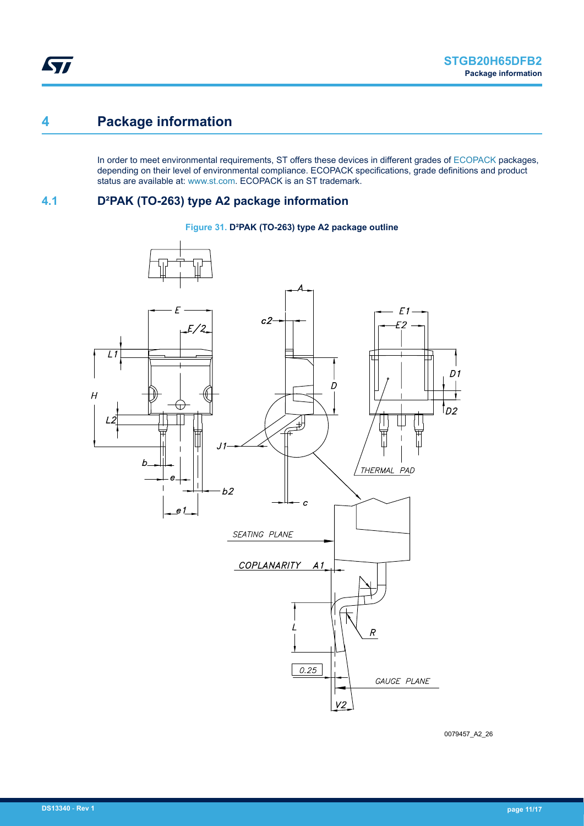## <span id="page-10-0"></span>**4 Package information**

In order to meet environmental requirements, ST offers these devices in different grades of [ECOPACK](https://www.st.com/ecopack) packages, depending on their level of environmental compliance. ECOPACK specifications, grade definitions and product status are available at: [www.st.com.](http://www.st.com) ECOPACK is an ST trademark.

### **4.1 D²PAK (TO-263) type A2 package information**

#### **Figure 31. D²PAK (TO-263) type A2 package outline**



0079457\_A2\_26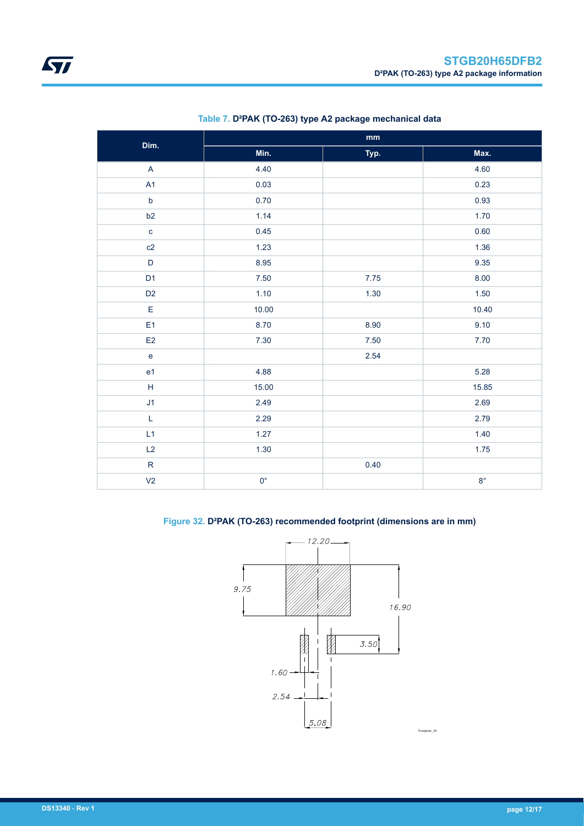| Dim.                                       | $\mathop{\text{mm}}\nolimits$ |      |             |  |  |  |
|--------------------------------------------|-------------------------------|------|-------------|--|--|--|
|                                            | Min.                          | Typ. | Max.        |  |  |  |
| $\boldsymbol{\mathsf{A}}$                  | 4.40                          |      | 4.60        |  |  |  |
| A1                                         | 0.03                          |      | 0.23        |  |  |  |
| $\mathsf b$                                | 0.70                          |      | 0.93        |  |  |  |
| b2                                         | 1.14                          |      | 1.70        |  |  |  |
| $\mathbf c$                                | 0.45                          |      | 0.60        |  |  |  |
| c2                                         | 1.23                          |      | 1.36        |  |  |  |
| $\mathsf D$                                | 8.95                          |      | 9.35        |  |  |  |
| D <sub>1</sub>                             | 7.50                          | 7.75 | 8.00        |  |  |  |
| D <sub>2</sub>                             | 1.10                          | 1.30 | 1.50        |  |  |  |
| $\mathsf E$                                | 10.00                         |      | 10.40       |  |  |  |
| E <sub>1</sub>                             | 8.70                          | 8.90 | 9.10        |  |  |  |
| E2                                         | 7.30                          | 7.50 | 7.70        |  |  |  |
| $\mathsf{e}% _{0}\left( \mathsf{e}\right)$ |                               | 2.54 |             |  |  |  |
| e1                                         | 4.88                          |      | 5.28        |  |  |  |
| $\mathsf H$                                | 15.00                         |      | 15.85       |  |  |  |
| J1                                         | 2.49                          |      | 2.69        |  |  |  |
| $\mathsf L$                                | 2.29                          |      | 2.79        |  |  |  |
| L1                                         | 1.27                          |      | 1.40        |  |  |  |
| L2                                         | 1.30                          |      | 1.75        |  |  |  |
| ${\sf R}$                                  |                               | 0.40 |             |  |  |  |
| V <sub>2</sub>                             | $0^{\circ}$                   |      | $8^{\circ}$ |  |  |  |

### **Table 7. D²PAK (TO-263) type A2 package mechanical data**

### **Figure 32. D²PAK (TO-263) recommended footprint (dimensions are in mm)**

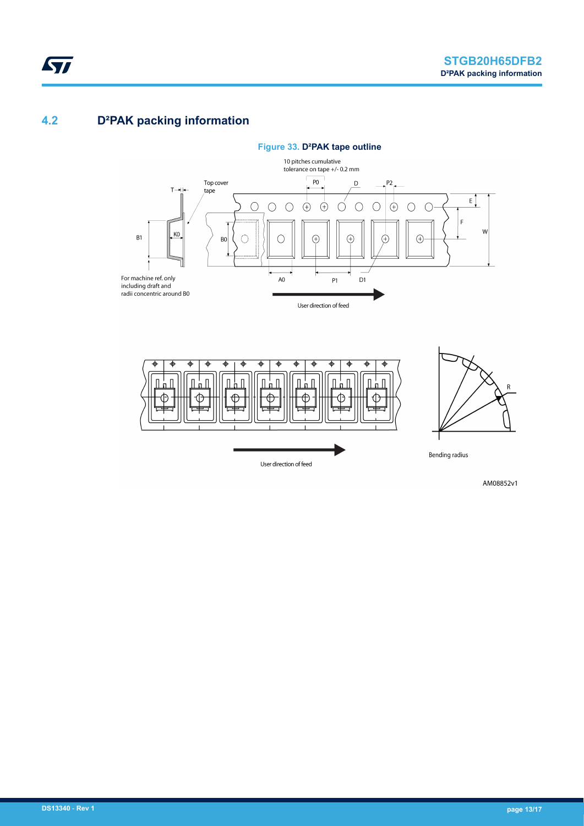### **4.2 D²PAK packing information**

<span id="page-12-0"></span>ST





AM08852v1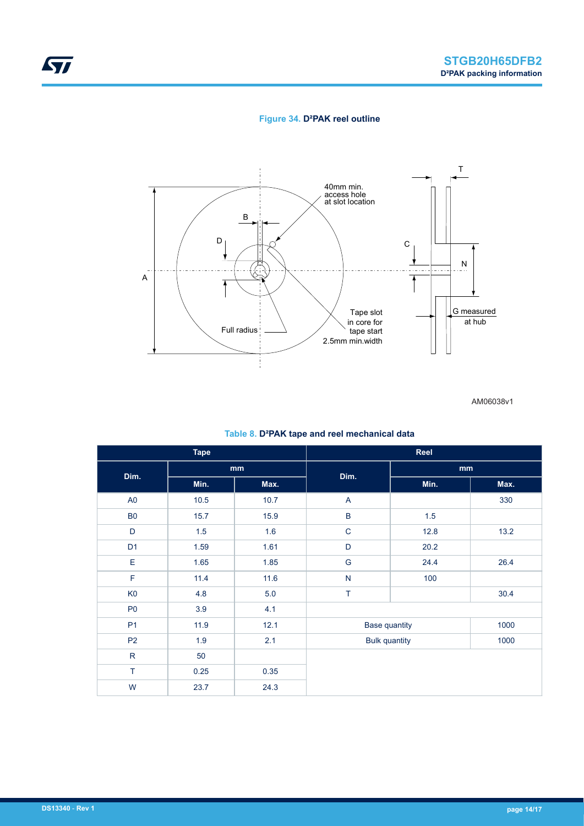### **Figure 34. D²PAK reel outline**



AM06038v1

### **Table 8. D²PAK tape and reel mechanical data**

| <b>Tape</b>    |      |      | Reel                 |      |      |  |
|----------------|------|------|----------------------|------|------|--|
| Dim.           | mm   |      | Dim.                 | mm   |      |  |
|                | Min. | Max. |                      | Min. | Max. |  |
| A <sub>0</sub> | 10.5 | 10.7 | A                    |      | 330  |  |
| B <sub>0</sub> | 15.7 | 15.9 | $\sf B$              | 1.5  |      |  |
| D              | 1.5  | 1.6  | $\mathbf C$          | 12.8 | 13.2 |  |
| D <sub>1</sub> | 1.59 | 1.61 | D                    | 20.2 |      |  |
| E              | 1.65 | 1.85 | ${\mathsf G}$        | 24.4 | 26.4 |  |
| $\mathsf F$    | 11.4 | 11.6 | ${\sf N}$            | 100  |      |  |
| K <sub>0</sub> | 4.8  | 5.0  | T                    |      | 30.4 |  |
| P <sub>0</sub> | 3.9  | 4.1  |                      |      |      |  |
| P <sub>1</sub> | 11.9 | 12.1 | <b>Base quantity</b> |      | 1000 |  |
| P <sub>2</sub> | 1.9  | 2.1  | <b>Bulk quantity</b> |      | 1000 |  |
| ${\sf R}$      | 50   |      |                      |      |      |  |
| T              | 0.25 | 0.35 |                      |      |      |  |
| W              | 23.7 | 24.3 |                      |      |      |  |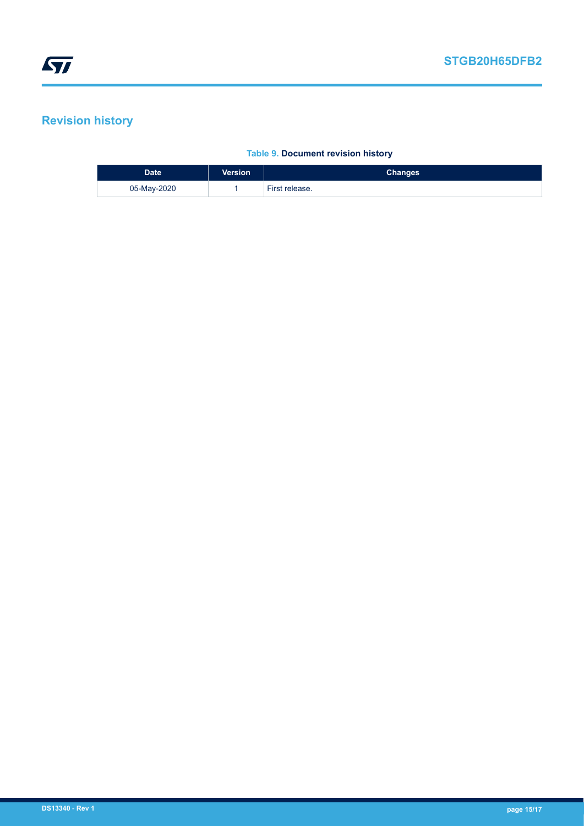# <span id="page-14-0"></span>**Revision history**

### **Table 9. Document revision history**

| <b>Date</b> | <b>Version</b> | <b>Changes</b> |
|-------------|----------------|----------------|
| 05-May-2020 |                | First release. |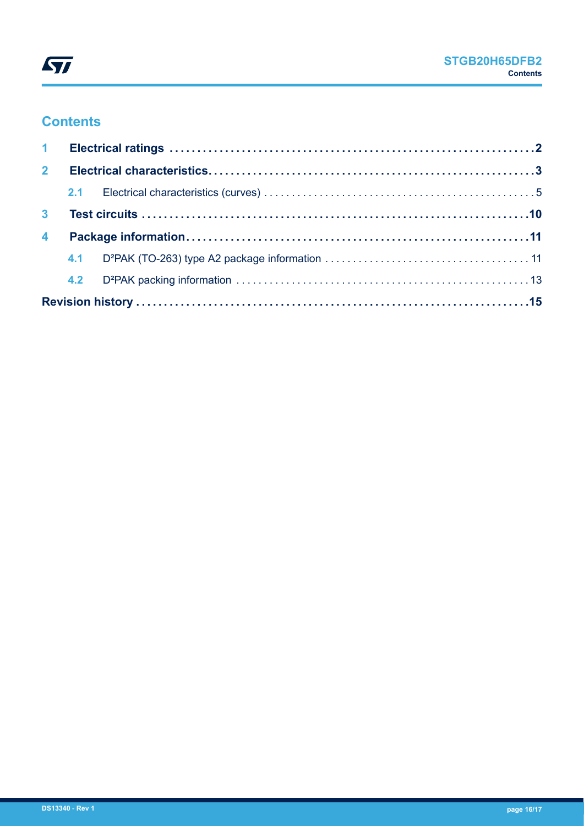

## **Contents**

| 2 <sup>1</sup>          |  |  |
|-------------------------|--|--|
|                         |  |  |
| 3 <sup>1</sup>          |  |  |
| $\overline{\mathbf{4}}$ |  |  |
|                         |  |  |
|                         |  |  |
|                         |  |  |